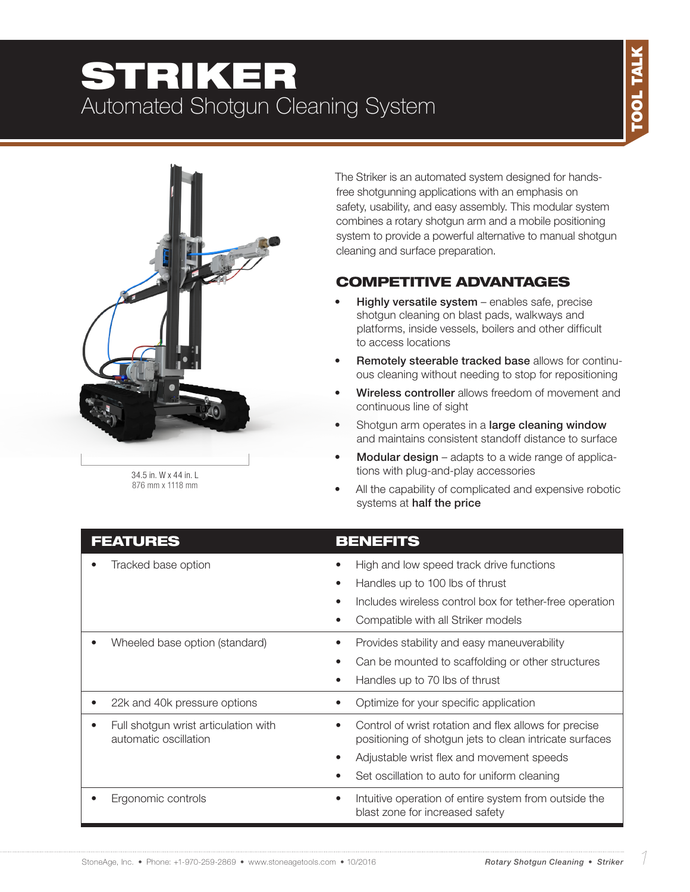# STRIKER Automated Shotgun Cleaning System



34.5 in. W x 44 in. L 876 mm x 1118 mm The Striker is an automated system designed for handsfree shotgunning applications with an emphasis on safety, usability, and easy assembly. This modular system combines a rotary shotgun arm and a mobile positioning system to provide a powerful alternative to manual shotgun cleaning and surface preparation.

### COMPETITIVE ADVANTAGES

- Highly versatile system enables safe, precise shotgun cleaning on blast pads, walkways and platforms, inside vessels, boilers and other difficult to access locations
- Remotely steerable tracked base allows for continuous cleaning without needing to stop for repositioning
- Wireless controller allows freedom of movement and continuous line of sight
- Shotgun arm operates in a large cleaning window and maintains consistent standoff distance to surface
- Modular design adapts to a wide range of applications with plug-and-play accessories
- All the capability of complicated and expensive robotic systems at half the price

| <b>FEATURES</b>                                               | <b>BENEFITS</b>                                                                                                               |  |
|---------------------------------------------------------------|-------------------------------------------------------------------------------------------------------------------------------|--|
| Tracked base option                                           | High and low speed track drive functions                                                                                      |  |
|                                                               | Handles up to 100 lbs of thrust<br>$\bullet$                                                                                  |  |
|                                                               | Includes wireless control box for tether-free operation<br>$\bullet$                                                          |  |
|                                                               | Compatible with all Striker models                                                                                            |  |
| Wheeled base option (standard)                                | Provides stability and easy maneuverability                                                                                   |  |
|                                                               | Can be mounted to scaffolding or other structures                                                                             |  |
|                                                               | Handles up to 70 lbs of thrust                                                                                                |  |
| 22k and 40k pressure options                                  | Optimize for your specific application                                                                                        |  |
| Full shotgun wrist articulation with<br>automatic oscillation | Control of wrist rotation and flex allows for precise<br>$\bullet$<br>positioning of shotgun jets to clean intricate surfaces |  |
|                                                               | Adjustable wrist flex and movement speeds                                                                                     |  |
|                                                               | Set oscillation to auto for uniform cleaning                                                                                  |  |
| Ergonomic controls                                            | Intuitive operation of entire system from outside the<br>٠<br>blast zone for increased safety                                 |  |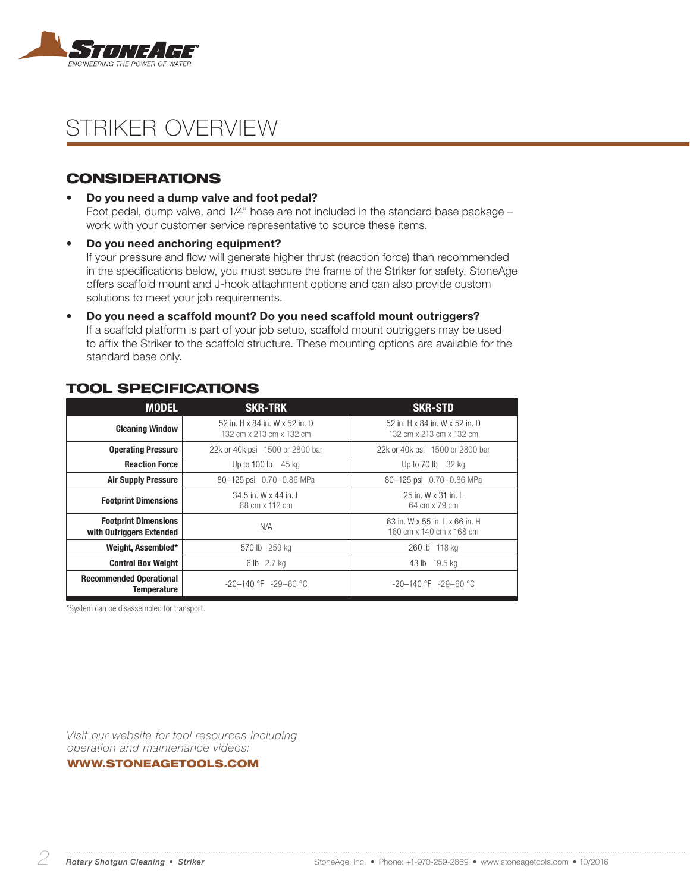

## STRIKER OVERVIEW

### **CONSIDERATIONS**

• Do you need a dump valve and foot pedal?

Foot pedal, dump valve, and 1/4" hose are not included in the standard base package – work with your customer service representative to source these items.

• Do you need anchoring equipment? If your pressure and flow will generate higher thrust (reaction force) than recommended in the specifications below, you must secure the frame of the Striker for safety. StoneAge offers scaffold mount and J-hook attachment options and can also provide custom solutions to meet your job requirements.

• Do you need a scaffold mount? Do you need scaffold mount outriggers? If a scaffold platform is part of your job setup, scaffold mount outriggers may be used to affix the Striker to the scaffold structure. These mounting options are available for the standard base only.

| <b>MODEL</b>                                            | <b>SKR-TRK</b>                                             | <b>SKR-STD</b>                                             |  |
|---------------------------------------------------------|------------------------------------------------------------|------------------------------------------------------------|--|
| <b>Cleaning Window</b>                                  | 52 in, H x 84 in, W x 52 in, D<br>132 cm x 213 cm x 132 cm | 52 in, H x 84 in, W x 52 in, D<br>132 cm x 213 cm x 132 cm |  |
| <b>Operating Pressure</b>                               | 22k or 40k psi 1500 or 2800 bar                            | 22k or 40k psi 1500 or 2800 bar                            |  |
| <b>Reaction Force</b>                                   | Up to $100 \,$ lb $45 \,$ kg                               | Up to $70 \,$ lb $32 \,$ kg                                |  |
| <b>Air Supply Pressure</b>                              | 80-125 psi 0.70-0.86 MPa                                   | 80-125 psi 0.70-0.86 MPa                                   |  |
| <b>Footprint Dimensions</b>                             | 34.5 in. W x 44 in. L<br>88 cm x 112 cm                    | 25 in. W x 31 in. L<br>64 cm x 79 cm                       |  |
| <b>Footprint Dimensions</b><br>with Outriggers Extended | N/A                                                        | 63 in, W x 55 in, L x 66 in, H<br>160 cm x 140 cm x 168 cm |  |
| Weight, Assembled*                                      | 570 lb 259 kg                                              | 260 lb 118 kg                                              |  |
| <b>Control Box Weight</b>                               | 6 lb 2.7 kg                                                | 43 lb 19.5 kg                                              |  |
| <b>Recommended Operational</b><br><b>Temperature</b>    | $-20-140$ °F $-29-60$ °C                                   | $-20 - 140$ °F $-29 - 60$ °C                               |  |

### TOOL SPECIFICATIONS

\*System can be disassembled for transport.

*Visit our website for tool resources including operation and maintenance videos:* 

#### WWW.STONEAGETOOLS.COM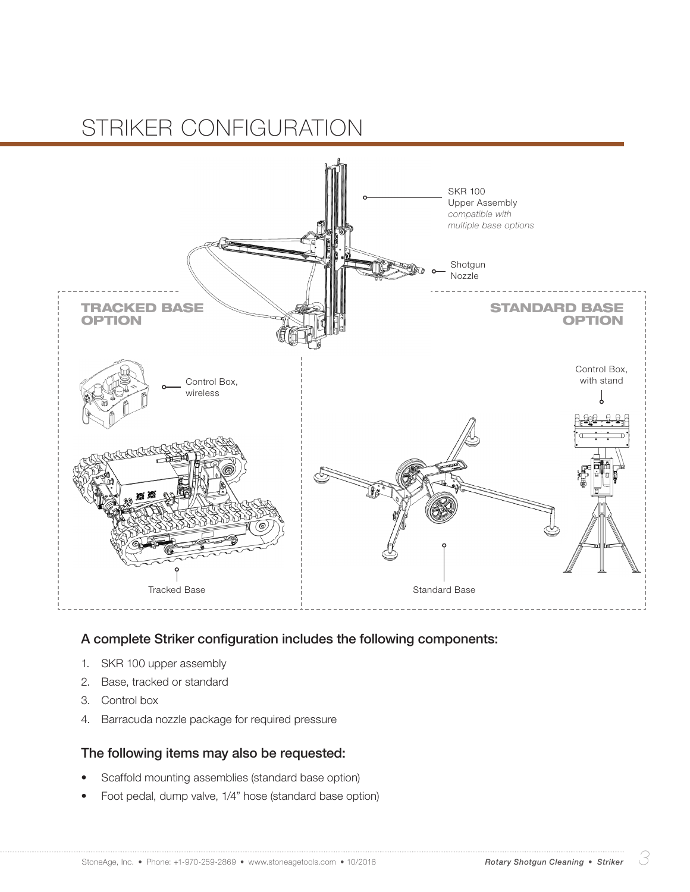## STRIKER CONFIGURATION



#### A complete Striker configuration includes the following components:

- 1. SKR 100 upper assembly
- 2. Base, tracked or standard
- 3. Control box
- 4. Barracuda nozzle package for required pressure

#### The following items may also be requested:

- Scaffold mounting assemblies (standard base option)
- Foot pedal, dump valve, 1/4" hose (standard base option)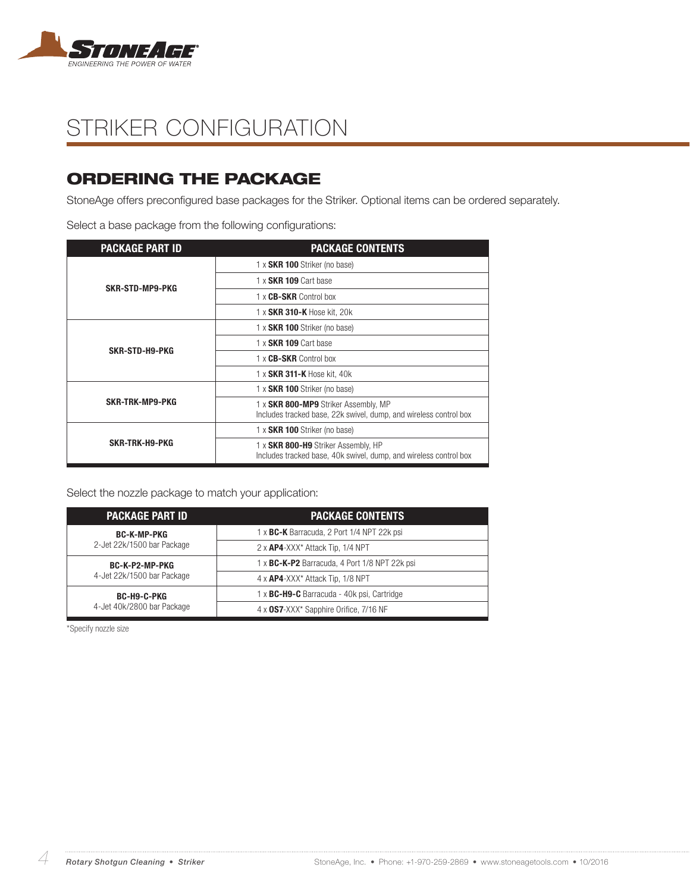

## STRIKER CONFIGURATION

### ORDERING THE PACKAGE

StoneAge offers preconfigured base packages for the Striker. Optional items can be ordered separately.

Select a base package from the following configurations:

| <b>PACKAGE PART ID</b> | <b>PACKAGE CONTENTS</b>                                                                                   |
|------------------------|-----------------------------------------------------------------------------------------------------------|
| SKR-STD-MP9-PKG        | 1 x SKR 100 Striker (no base)                                                                             |
|                        | 1 x SKR 109 Cart base                                                                                     |
|                        | 1 x <b>CB-SKR</b> Control box                                                                             |
|                        | 1 x SKR 310-K Hose kit, 20k                                                                               |
| SKR-STD-H9-PKG         | 1 x SKR 100 Striker (no base)                                                                             |
|                        | 1 x SKR 109 Cart base                                                                                     |
|                        | 1 x CB-SKR Control box                                                                                    |
|                        | 1 x SKR 311-K Hose kit, 40k                                                                               |
| <b>SKR-TRK-MP9-PKG</b> | 1 x <b>SKR 100</b> Striker (no base)                                                                      |
|                        | 1 x SKR 800-MP9 Striker Assembly, MP<br>Includes tracked base, 22k swivel, dump, and wireless control box |
| SKR-TRK-H9-PKG         | 1 x SKR 100 Striker (no base)                                                                             |
|                        | 1 x SKR 800-H9 Striker Assembly, HP<br>Includes tracked base, 40k swivel, dump, and wireless control box  |

Select the nozzle package to match your application:

| <b>PACKAGE PART ID</b>                           | <b>PACKAGE CONTENTS</b>                           |
|--------------------------------------------------|---------------------------------------------------|
| <b>BC-K-MP-PKG</b><br>2-Jet 22k/1500 bar Package | 1 x BC-K Barracuda, 2 Port 1/4 NPT 22k psi        |
|                                                  | 2 x <b>AP4</b> -XXX* Attack Tip, 1/4 NPT          |
| BC-K-P2-MP-PKG<br>4-Jet 22k/1500 bar Package     | 1 x BC-K-P2 Barracuda, 4 Port 1/8 NPT 22k psi     |
|                                                  | $4 \times$ AP4-XXX* Attack Tip, 1/8 NPT           |
| BC-H9-C-PKG<br>4-Jet 40k/2800 bar Package        | 1 x <b>BC-H9-C</b> Barracuda - 40k psi, Cartridge |
|                                                  | 4 x 0S7-XXX* Sapphire Orifice, 7/16 NF            |

\*Specify nozzle size